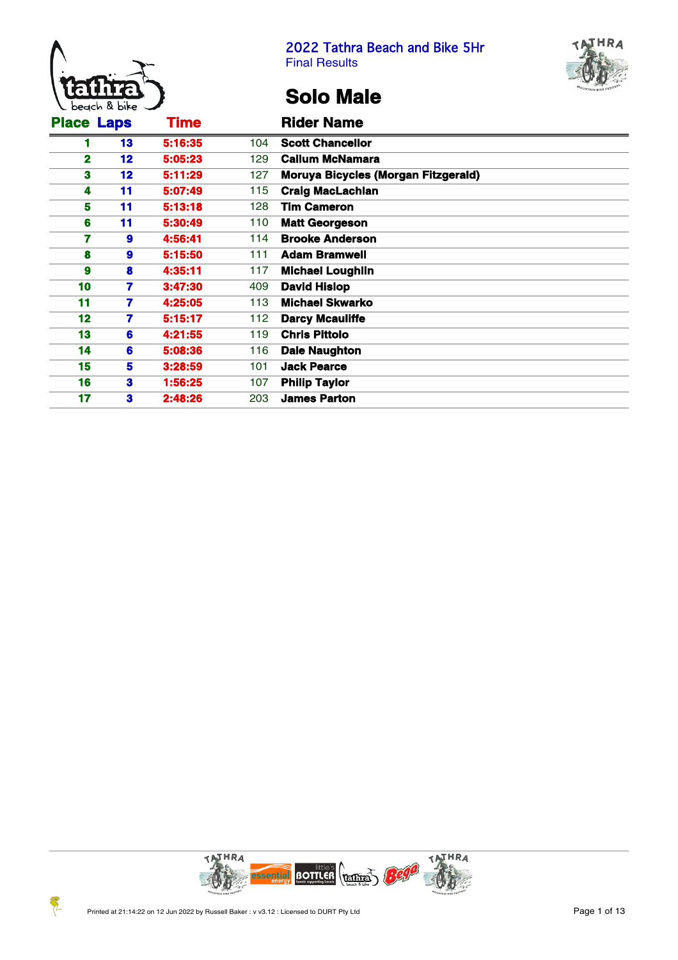



# **Solo Male**

| <b>Place Laps</b> |    | <b>Time</b> |     | <b>Rider Name</b>                          |
|-------------------|----|-------------|-----|--------------------------------------------|
|                   | 13 | 5:16:35     | 104 | <b>Scott Chancellor</b>                    |
| 2                 | 12 | 5:05:23     | 129 | <b>Callum McNamara</b>                     |
| 3                 | 12 | 5:11:29     | 127 | <b>Moruya Bicycles (Morgan Fitzgerald)</b> |
| 4                 | 11 | 5:07:49     | 115 | <b>Craig MacLachlan</b>                    |
| 5                 | 11 | 5:13:18     | 128 | <b>Tim Cameron</b>                         |
| 6                 | 11 | 5:30:49     | 110 | <b>Matt Georgeson</b>                      |
|                   | 9  | 4:56:41     | 114 | <b>Brooke Anderson</b>                     |
| 8                 | 9  | 5:15:50     | 111 | <b>Adam Bramwell</b>                       |
| 9                 | 8  | 4:35:11     | 117 | <b>Michael Loughlin</b>                    |
| 10                | 7  | 3:47:30     | 409 | <b>David Hislop</b>                        |
| 11                | 7  | 4:25:05     | 113 | <b>Michael Skwarko</b>                     |
| 12                | 7  | 5:15:17     | 112 | <b>Darcy Mcauliffe</b>                     |
| 13                | 6  | 4:21:55     | 119 | <b>Chris Pittolo</b>                       |
| 14                | 6  | 5:08:36     | 116 | <b>Dale Naughton</b>                       |
| 15                | 5  | 3:28:59     | 101 | <b>Jack Pearce</b>                         |
| 16                | 3  | 1:56:25     | 107 | <b>Philip Taylor</b>                       |
| 17                | 3  | 2:48:26     | 203 | <b>James Parton</b>                        |

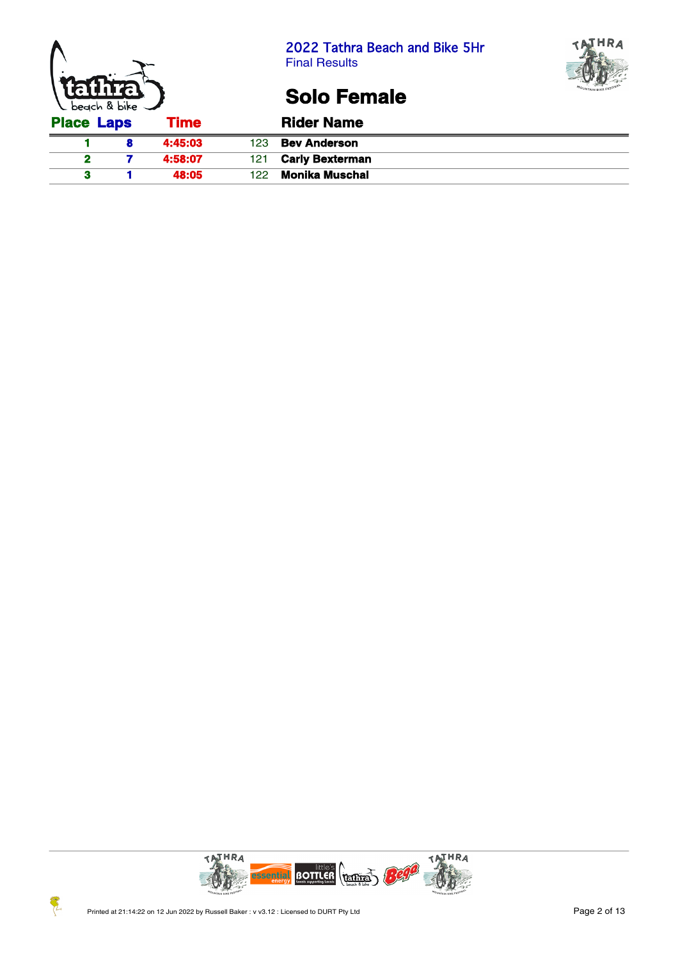





## **Solo Female**

| <b>Place Laps</b> | <b>Time</b> |     | <b>Rider Name</b>      |
|-------------------|-------------|-----|------------------------|
|                   | 4:45:03     | 123 | <b>Bev Anderson</b>    |
|                   | 4:58:07     | 121 | <b>Carly Bexterman</b> |
|                   | 48:05       | 122 | Monika Muschal         |

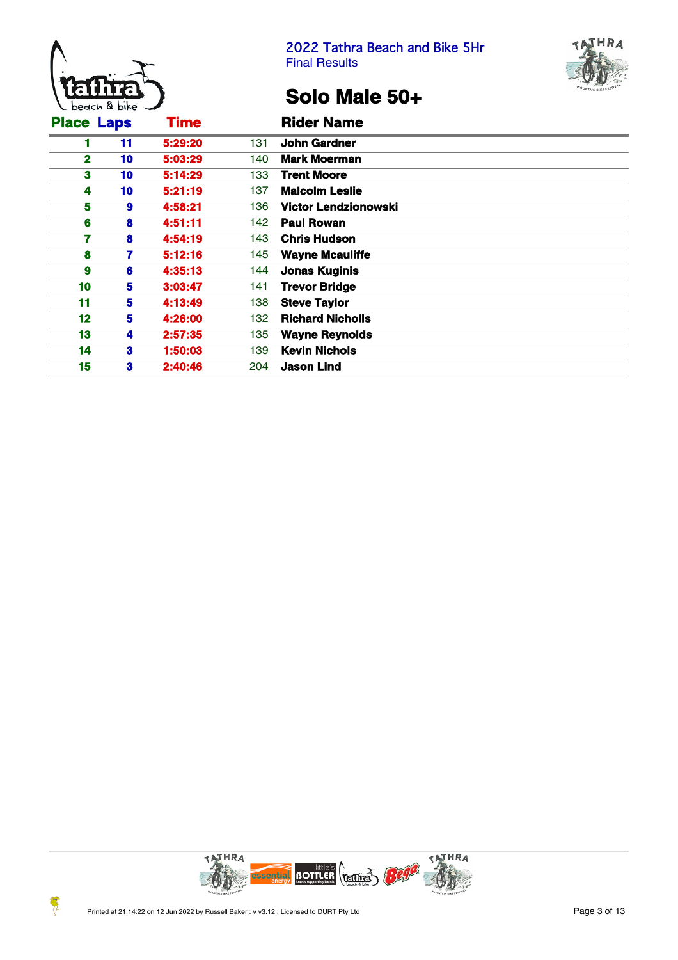



# **Solo Male 50+**

| <b>Place Laps</b> |    | <b>Time</b> |     | <b>Rider Name</b>           |
|-------------------|----|-------------|-----|-----------------------------|
|                   | 11 | 5:29:20     | 131 | <b>John Gardner</b>         |
| $\mathbf{2}$      | 10 | 5:03:29     | 140 | <b>Mark Moerman</b>         |
| 3                 | 10 | 5:14:29     | 133 | <b>Trent Moore</b>          |
| 4                 | 10 | 5:21:19     | 137 | <b>Malcolm Leslie</b>       |
| 5                 | 9  | 4:58:21     | 136 | <b>Victor Lendzionowski</b> |
| 6                 | 8  | 4:51:11     | 142 | <b>Paul Rowan</b>           |
| 7                 | 8  | 4:54:19     | 143 | <b>Chris Hudson</b>         |
| 8                 | 7  | 5:12:16     | 145 | <b>Wayne Mcauliffe</b>      |
| 9                 | 6  | 4:35:13     | 144 | <b>Jonas Kuginis</b>        |
| 10                | 5  | 3:03:47     | 141 | <b>Trevor Bridge</b>        |
| 11                | 5  | 4:13:49     | 138 | <b>Steve Taylor</b>         |
| 12                | 5  | 4:26:00     | 132 | <b>Richard Nicholls</b>     |
| 13                | 4  | 2:57:35     | 135 | <b>Wayne Reynolds</b>       |
| 14                | 3  | 1:50:03     | 139 | <b>Kevin Nichols</b>        |
| 15                | 3  | 2:40:46     | 204 | <b>Jason Lind</b>           |

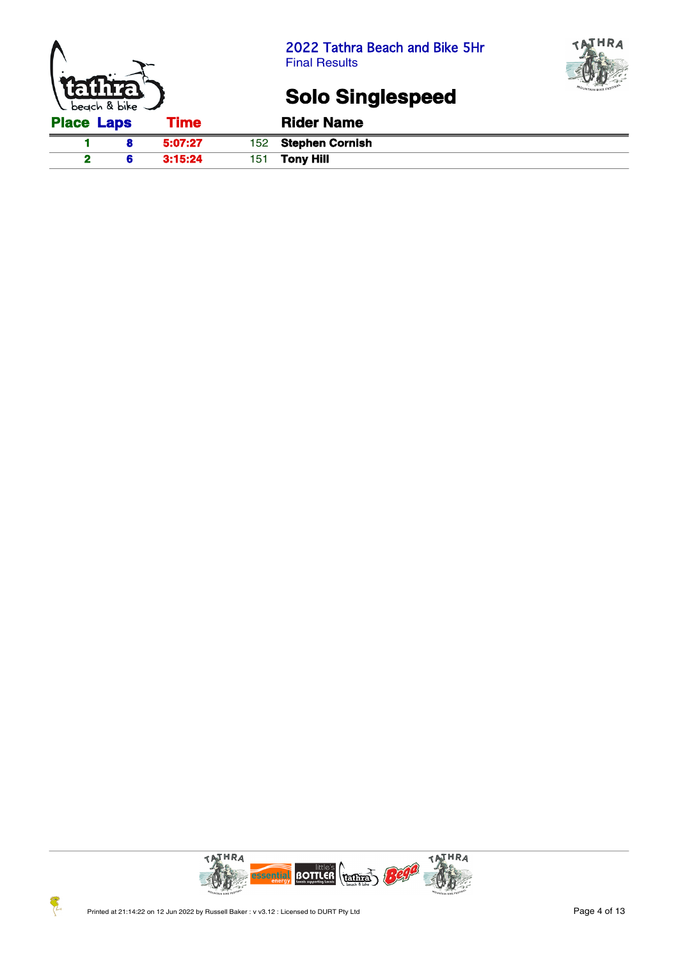



# **Solo Singlespeed**

| <b>Place Laps</b> | Time    | <b>Rider Name</b>    |
|-------------------|---------|----------------------|
|                   | 5:07:27 | 152 Stephen Cornish  |
|                   | 3:15:24 | 151 <b>Tony Hill</b> |

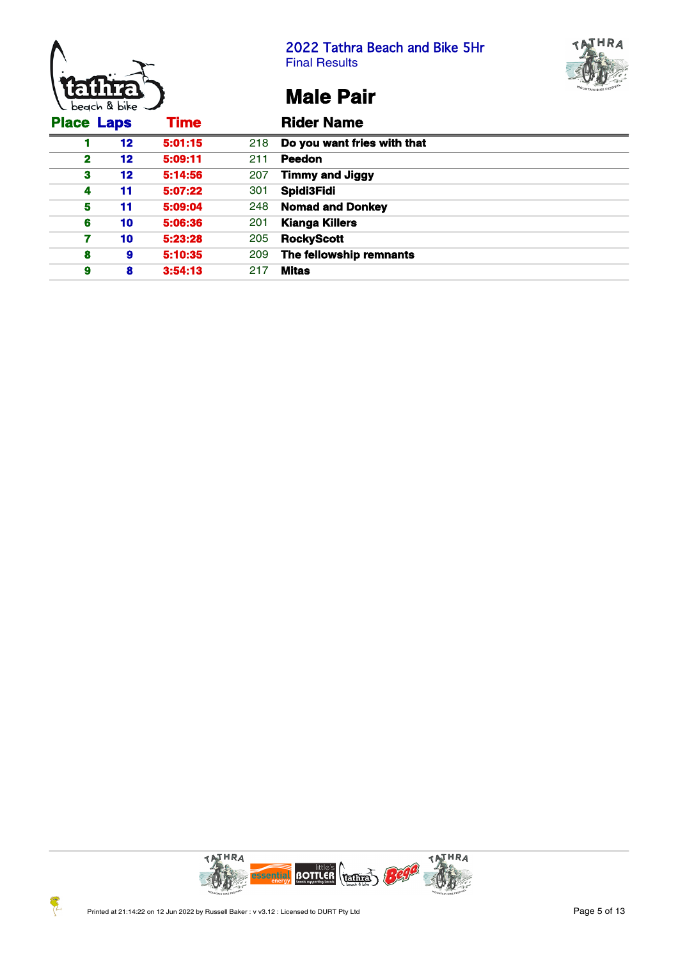



# **Male Pair**

| <b>Place Laps</b> |         | <b>Time</b> |     | <b>Rider Name</b>           |
|-------------------|---------|-------------|-----|-----------------------------|
|                   | $12 \,$ | 5:01:15     | 218 | Do you want fries with that |
| $\mathbf{2}$      | 12      | 5:09:11     | 211 | <b>Peedon</b>               |
| 3                 | 12      | 5:14:56     | 207 | <b>Timmy and Jiggy</b>      |
| 4                 | 11      | 5:07:22     | 301 | Spidi3Fidi                  |
| 5                 | 11      | 5:09:04     | 248 | <b>Nomad and Donkey</b>     |
| 6                 | 10      | 5:06:36     | 201 | <b>Kianga Killers</b>       |
| 7                 | 10      | 5:23:28     | 205 | <b>RockyScott</b>           |
| 8                 | 9       | 5:10:35     | 209 | The fellowship remnants     |
| 9                 | 8       | 3:54:13     | 217 | <b>Mitas</b>                |

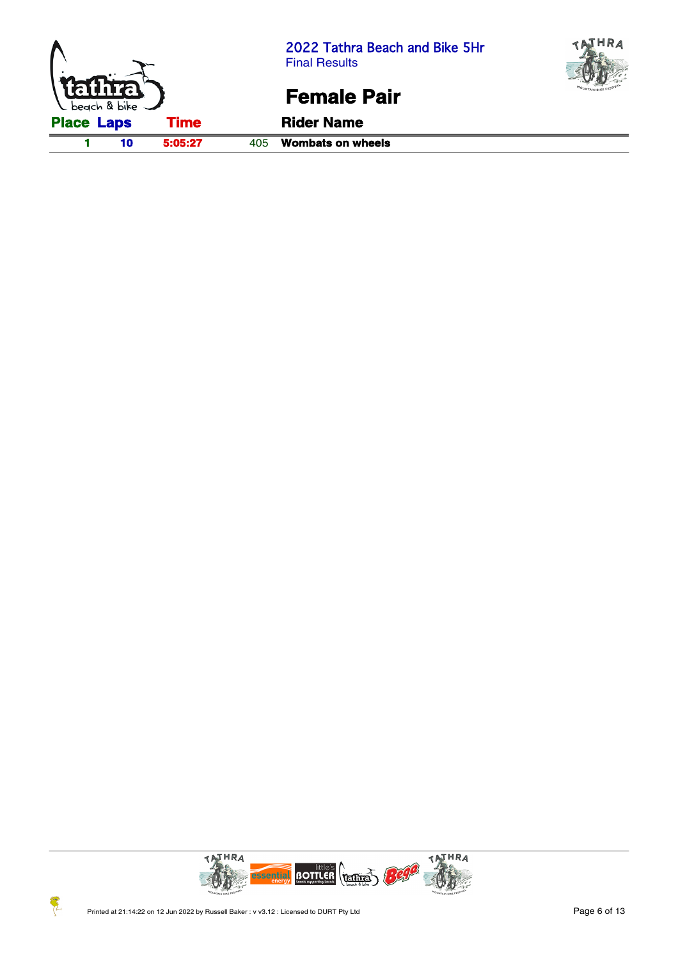



### **Female Pair**



 $\mathcal{F}_{\mathcal{L}}$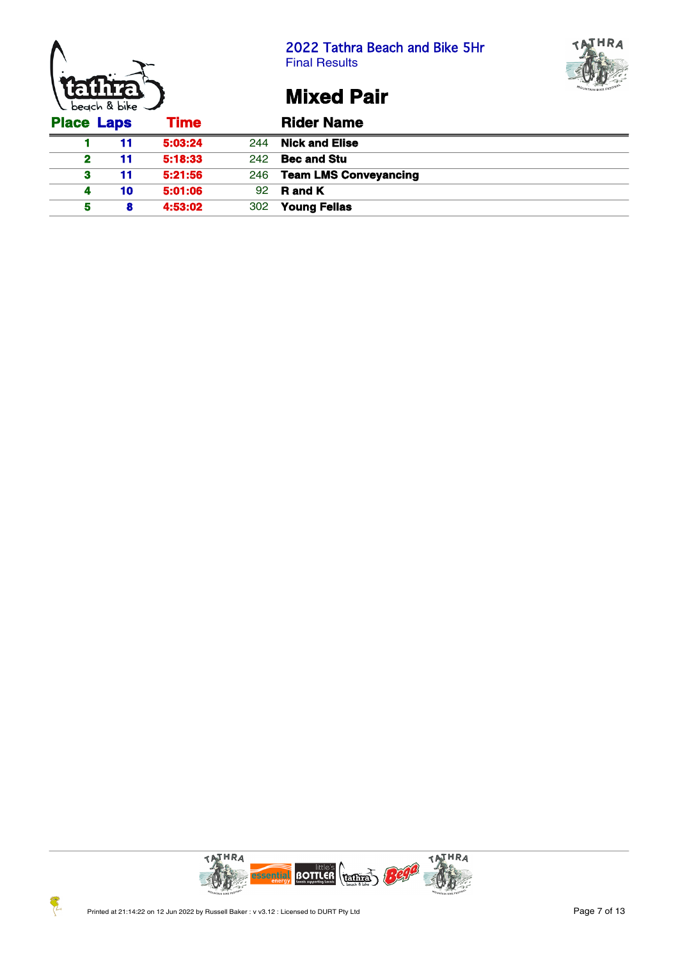





**Mixed Pair**

|                   | $\sim$ $\sim$ $\sim$ $\sim$ $\sim$ $\sim$ |             |     |                           |
|-------------------|-------------------------------------------|-------------|-----|---------------------------|
| <b>Place Laps</b> |                                           | <b>Time</b> |     | <b>Rider Name</b>         |
|                   | 11                                        | 5:03:24     | 244 | <b>Nick and Elise</b>     |
| $\mathbf{2}$      | 11                                        | 5:18:33     | 242 | <b>Bec and Stu</b>        |
| 3                 | 11                                        | 5:21:56     |     | 246 Team LMS Conveyancing |
| 4                 | 10                                        | 5:01:06     |     | $92$ R and K              |
|                   | 8                                         | 4:53:02     | 302 | <b>Young Fellas</b>       |

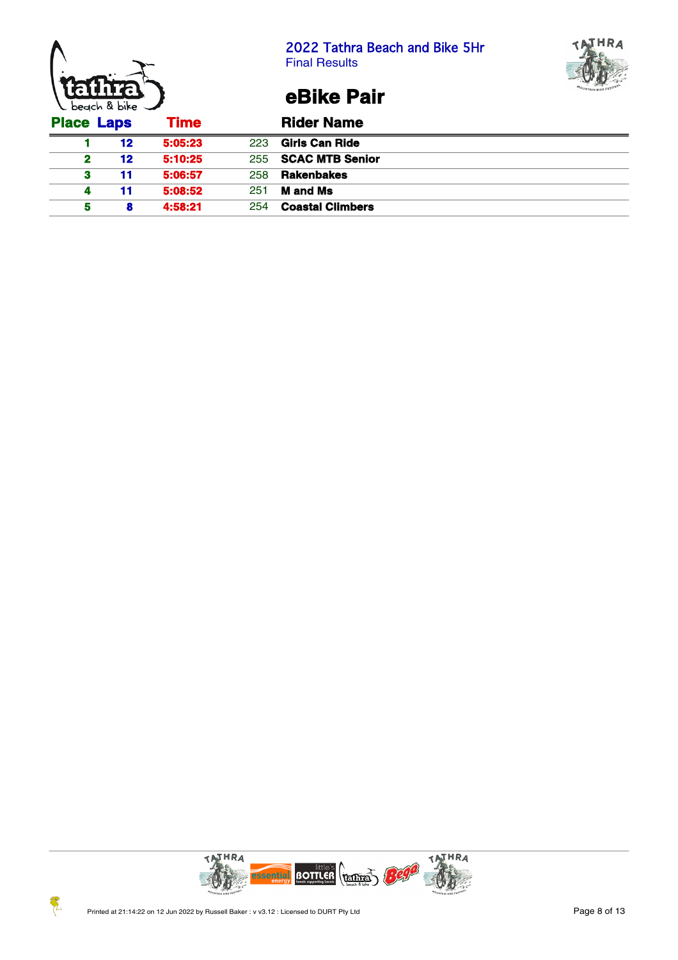





**eBike Pair**

| <b>Place Laps</b> |    | <b>Time</b> |     | <b>Rider Name</b>          |
|-------------------|----|-------------|-----|----------------------------|
|                   | 12 | 5:05:23     | 223 | Girls Can Ride             |
| 2                 | 12 | 5:10:25     |     | 255 <b>SCAC MTB Senior</b> |
| 3                 | 11 | 5:06:57     | 258 | <b>Rakenbakes</b>          |
| 4                 | 11 | 5:08:52     | 251 | <b>M</b> and Ms            |
| 5                 | 8  | 4:58:21     | 254 | <b>Coastal Climbers</b>    |

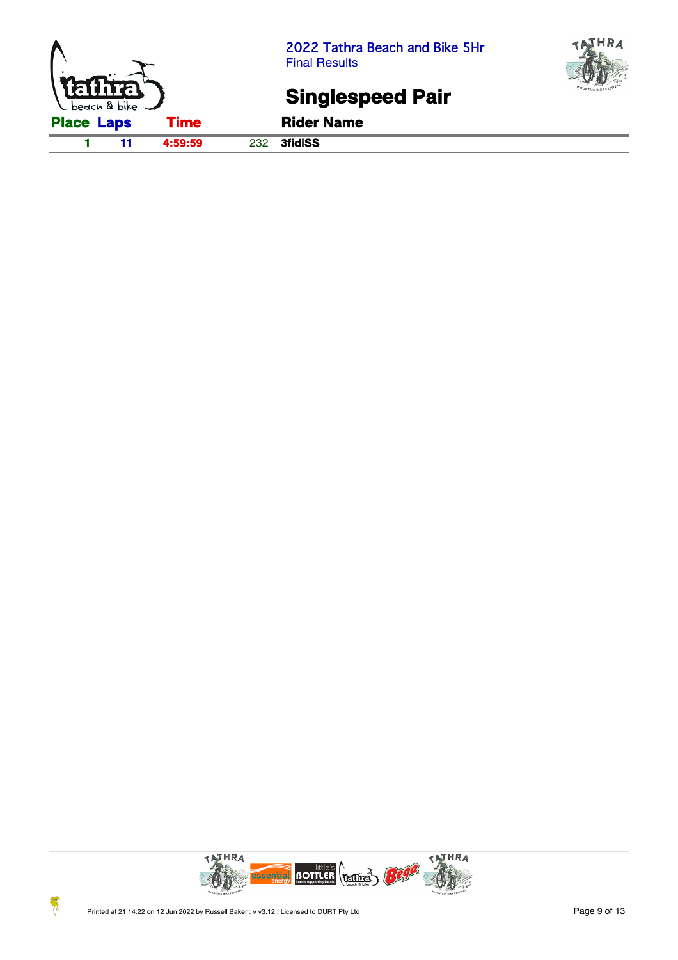



# **Singlespeed Pair**

**1 11 4:59:59** 232 **3fidiSS**

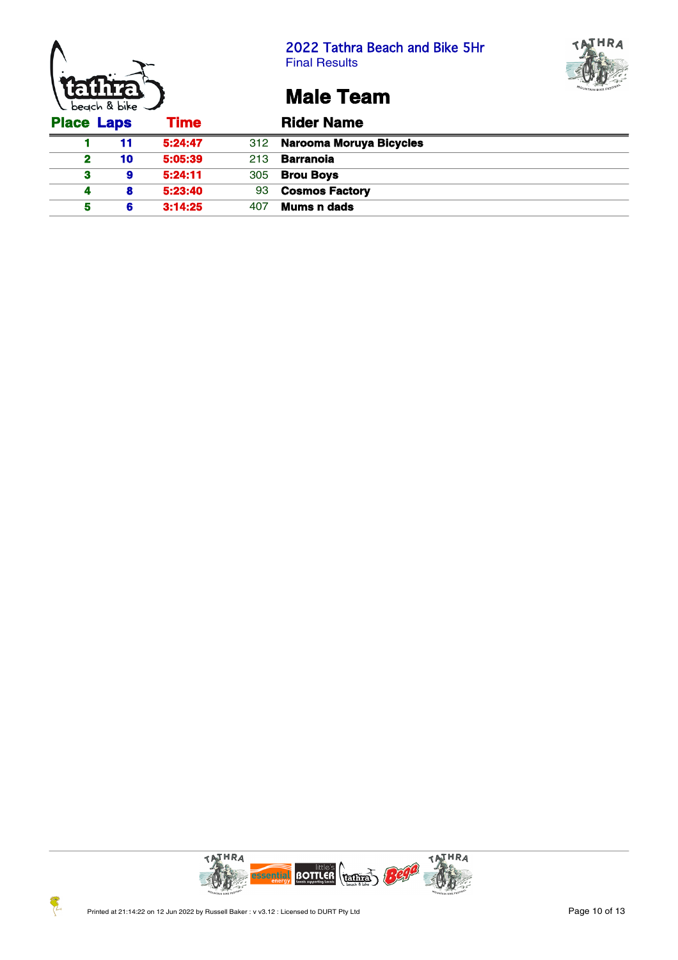





## **Male Team**

| <b>Place Laps</b> |    | Time    |     | <b>Rider Name</b>           |
|-------------------|----|---------|-----|-----------------------------|
|                   | 11 | 5:24:47 |     | 312 Narooma Moruya Bicycles |
| $\mathbf{2}$      | 10 | 5:05:39 | 213 | <b>Barranoia</b>            |
| з                 | 9  | 5:24:11 | 305 | <b>Brou Boys</b>            |
|                   | 8  | 5:23:40 | 93  | <b>Cosmos Factory</b>       |
|                   | 6  | 3:14:25 | 407 | Mums n dads                 |



Z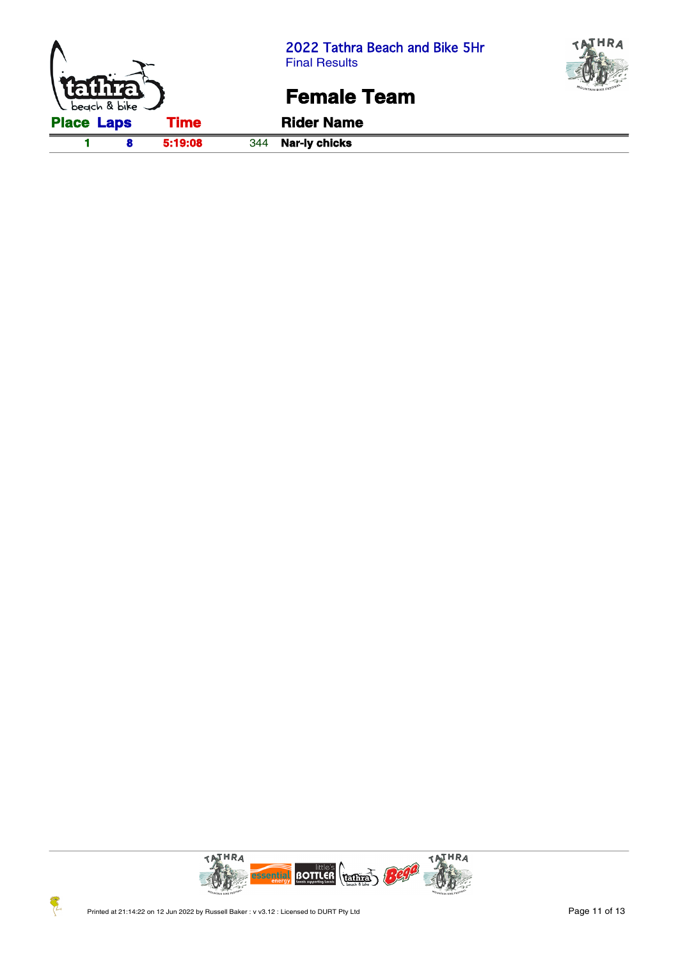



### **Female Team**

**1 8 5:19:08** 344 **Nar-ly chicks**



 $\mathcal{F}_{\mathcal{L}}$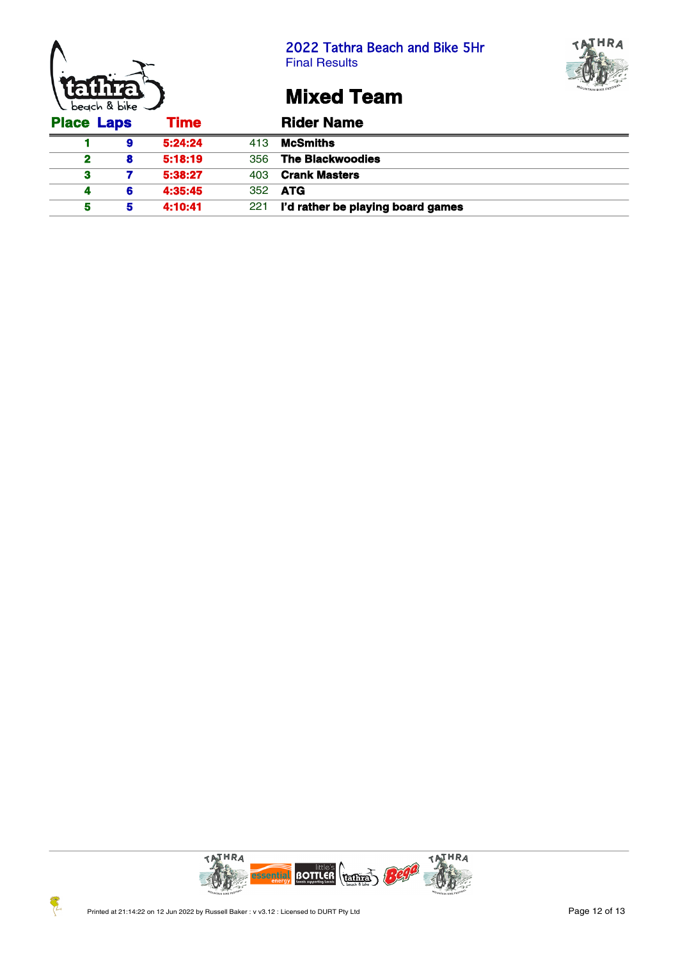





### **Mixed Team**

|                   | $\epsilon$ occurs a one $\epsilon$ |             |     |                                   |  |  |  |  |  |
|-------------------|------------------------------------|-------------|-----|-----------------------------------|--|--|--|--|--|
| <b>Place Laps</b> |                                    | <b>Time</b> |     | <b>Rider Name</b>                 |  |  |  |  |  |
|                   | 9                                  | 5:24:24     | 413 | <b>McSmiths</b>                   |  |  |  |  |  |
| 2                 | 8                                  | 5:18:19     | 356 | <b>The Blackwoodies</b>           |  |  |  |  |  |
| з                 |                                    | 5:38:27     | 403 | <b>Crank Masters</b>              |  |  |  |  |  |
|                   | 6                                  | 4:35:45     |     | 352 <b>ATG</b>                    |  |  |  |  |  |
|                   | 5                                  | 4:10:41     | 221 | I'd rather be playing board games |  |  |  |  |  |